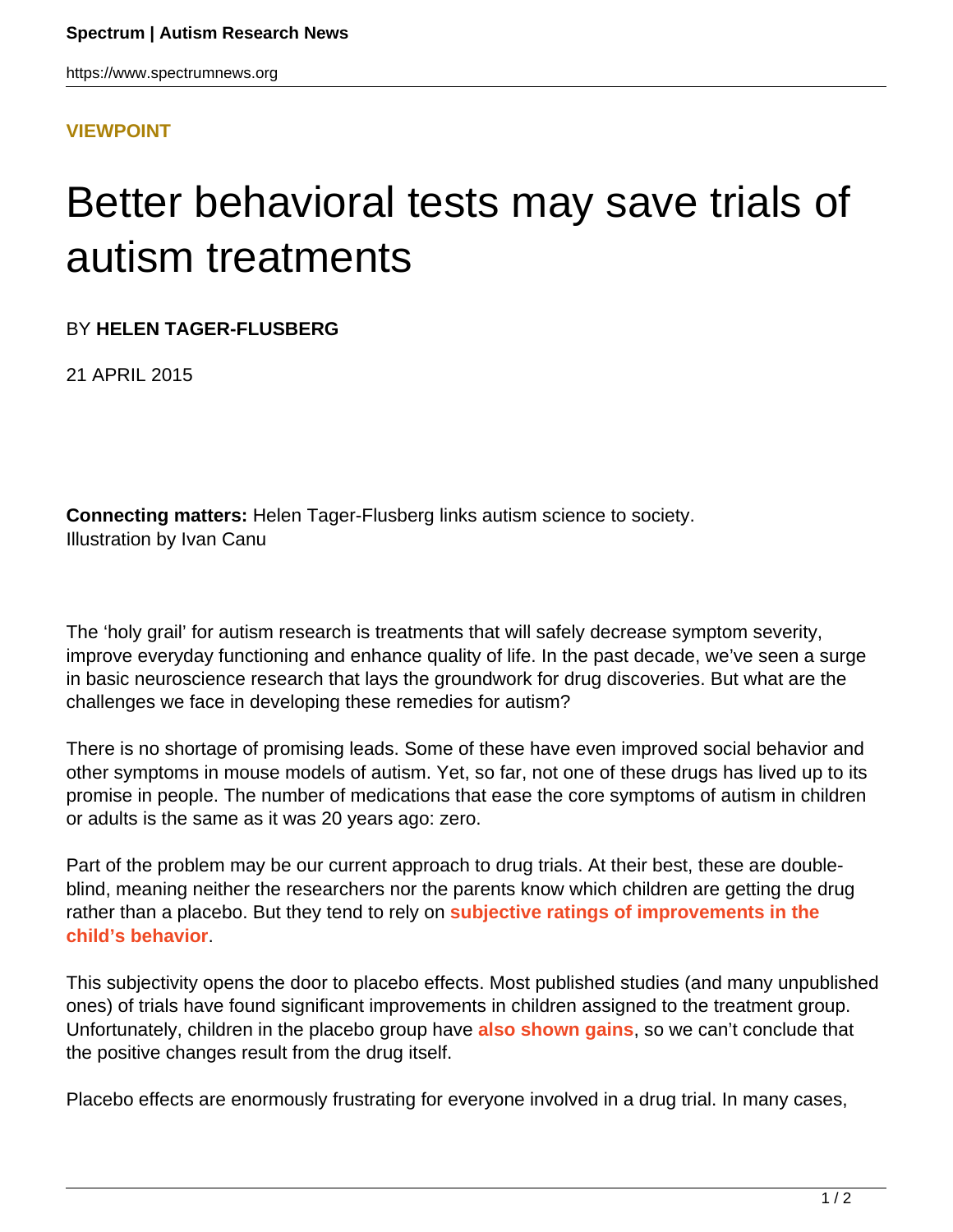https://www.spectrumnews.org

**[VIEWPOINT](HTTPS://WWW.SPECTRUMNEWS.ORG/OPINION/VIEWPOINT/)**

## Better behavioral tests may save trials of autism treatments

BY **HELEN TAGER-FLUSBERG**

21 APRIL 2015

**Connecting matters:** Helen Tager-Flusberg links autism science to society. Illustration by Ivan Canu

The 'holy grail' for autism research is treatments that will safely decrease symptom severity, improve everyday functioning and enhance quality of life. In the past decade, we've seen a surge in basic neuroscience research that lays the groundwork for drug discoveries. But what are the challenges we face in developing these remedies for autism?

There is no shortage of promising leads. Some of these have even improved social behavior and other symptoms in mouse models of autism. Yet, so far, not one of these drugs has lived up to its promise in people. The number of medications that ease the core symptoms of autism in children or adults is the same as it was 20 years ago: zero.

Part of the problem may be our current approach to drug trials. At their best, these are doubleblind, meaning neither the researchers nor the parents know which children are getting the drug rather than a placebo. But they tend to rely on **[subjective ratings of improvements in the](https://www.spectrumnews.org/q-a/2015/questions-for-elizabeth-berry-kravis-measuring-drug-effects) [child's behavior](https://www.spectrumnews.org/q-a/2015/questions-for-elizabeth-berry-kravis-measuring-drug-effects)**.

This subjectivity opens the door to placebo effects. Most published studies (and many unpublished ones) of trials have found significant improvements in children assigned to the treatment group. Unfortunately, children in the placebo group have **[also shown gains](https://www.spectrumnews.org/blog/2011/mind-games)**, so we can't conclude that the positive changes result from the drug itself.

Placebo effects are enormously frustrating for everyone involved in a drug trial. In many cases,